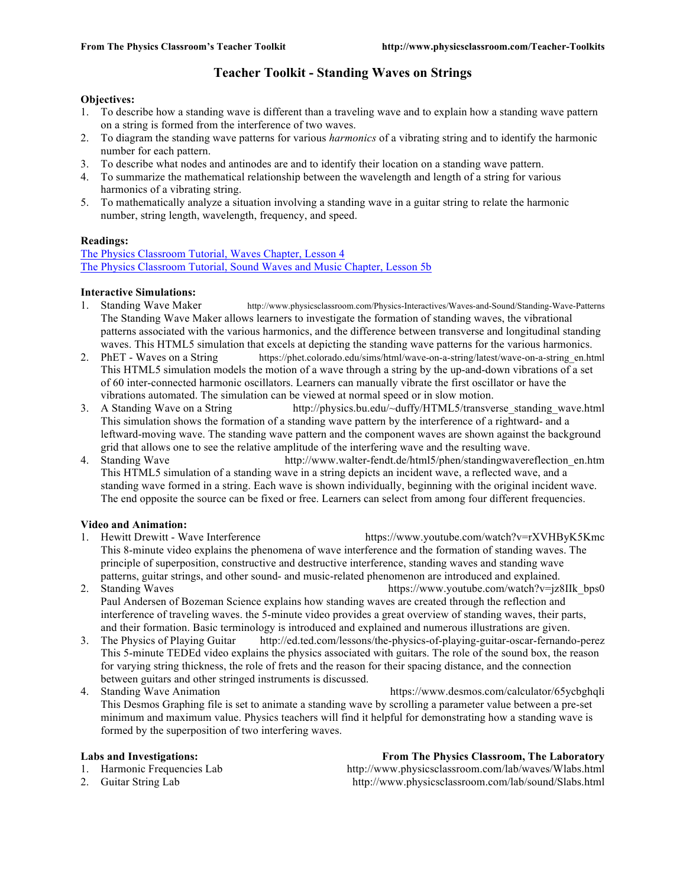### **Teacher Toolkit - Standing Waves on Strings**

### **Objectives:**

- 1. To describe how a standing wave is different than a traveling wave and to explain how a standing wave pattern on a string is formed from the interference of two waves.
- 2. To diagram the standing wave patterns for various *harmonics* of a vibrating string and to identify the harmonic number for each pattern.
- 3. To describe what nodes and antinodes are and to identify their location on a standing wave pattern.
- 4. To summarize the mathematical relationship between the wavelength and length of a string for various harmonics of a vibrating string.
- 5. To mathematically analyze a situation involving a standing wave in a guitar string to relate the harmonic number, string length, wavelength, frequency, and speed.

### **Readings:**

The Physics Classroom Tutorial, Waves Chapter, Lesson 4 The Physics Classroom Tutorial, Sound Waves and Music Chapter, Lesson 5b

### **Interactive Simulations:**

- 1. Standing Wave Maker http://www.physicsclassroom.com/Physics-Interactives/Waves-and-Sound/Standing-Wave-Patterns The Standing Wave Maker allows learners to investigate the formation of standing waves, the vibrational patterns associated with the various harmonics, and the difference between transverse and longitudinal standing waves. This HTML5 simulation that excels at depicting the standing wave patterns for the various harmonics.
- 2. PhET Waves on a String https://phet.colorado.edu/sims/html/wave-on-a-string/latest/wave-on-a-string en.html This HTML5 simulation models the motion of a wave through a string by the up-and-down vibrations of a set of 60 inter-connected harmonic oscillators. Learners can manually vibrate the first oscillator or have the vibrations automated. The simulation can be viewed at normal speed or in slow motion.
- 3. A Standing Wave on a String http://physics.bu.edu/~duffy/HTML5/transverse\_standing\_wave.html This simulation shows the formation of a standing wave pattern by the interference of a rightward- and a leftward-moving wave. The standing wave pattern and the component waves are shown against the background grid that allows one to see the relative amplitude of the interfering wave and the resulting wave.
- 4. Standing Wave http://www.walter-fendt.de/html5/phen/standingwavereflection\_en.htm This HTML5 simulation of a standing wave in a string depicts an incident wave, a reflected wave, and a standing wave formed in a string. Each wave is shown individually, beginning with the original incident wave. The end opposite the source can be fixed or free. Learners can select from among four different frequencies.

### **Video and Animation:**

- 1. Hewitt Drewitt Wave Interference https://www.youtube.com/watch?v=rXVHByK5Kmc This 8-minute video explains the phenomena of wave interference and the formation of standing waves. The principle of superposition, constructive and destructive interference, standing waves and standing wave patterns, guitar strings, and other sound- and music-related phenomenon are introduced and explained.
- 2. Standing Waves https://www.youtube.com/watch?v=jz8IIk\_bps0 Paul Andersen of Bozeman Science explains how standing waves are created through the reflection and interference of traveling waves. the 5-minute video provides a great overview of standing waves, their parts, and their formation. Basic terminology is introduced and explained and numerous illustrations are given.
- 3. The Physics of Playing Guitar http://ed.ted.com/lessons/the-physics-of-playing-guitar-oscar-fernando-perez This 5-minute TEDEd video explains the physics associated with guitars. The role of the sound box, the reason for varying string thickness, the role of frets and the reason for their spacing distance, and the connection between guitars and other stringed instruments is discussed.
- 4. Standing Wave Animation **https://www.desmos.com/calculator/65ycbgh**qli This Desmos Graphing file is set to animate a standing wave by scrolling a parameter value between a pre-set minimum and maximum value. Physics teachers will find it helpful for demonstrating how a standing wave is formed by the superposition of two interfering waves.

**Labs and Investigations: From The Physics Classroom, The Laboratory** 1. Harmonic Frequencies Lab http://www.physicsclassroom.com/lab/waves/Wlabs.html 2. Guitar String Lab http://www.physicsclassroom.com/lab/sound/Slabs.html